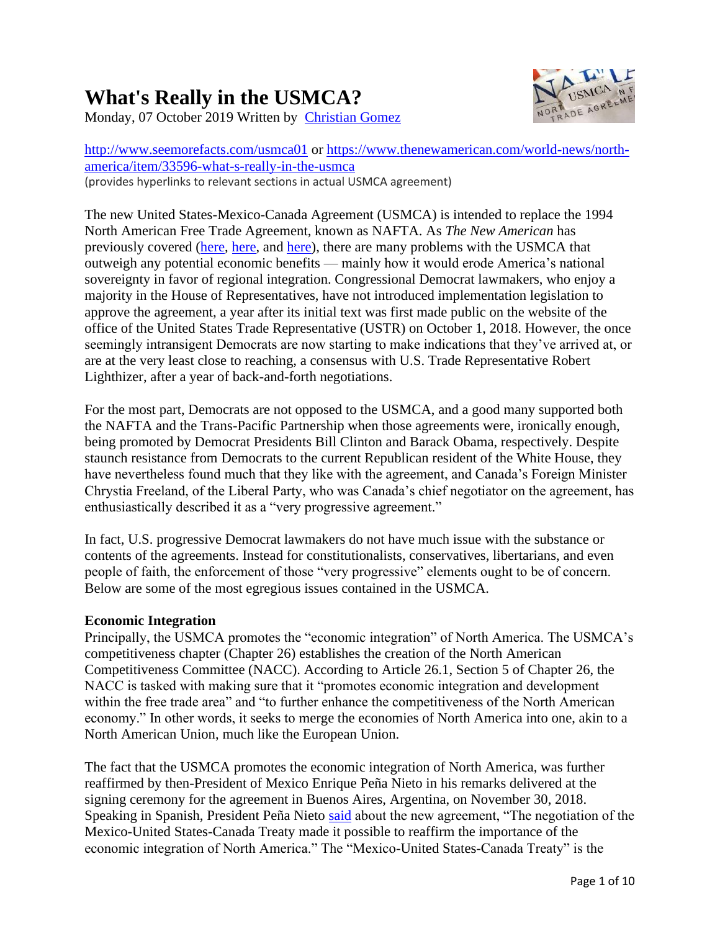# **What's Really in the USMCA?**



Monday, 07 October 2019 Written by [Christian Gomez](https://www.thenewamerican.com/world-news/north-america/itemlist/user/75-christiangomez)

<http://www.seemorefacts.com/usmca01> or [https://www.thenewamerican.com/world-news/north](https://www.thenewamerican.com/world-news/north-america/item/33596-what-s-really-in-the-usmca)[america/item/33596-what-s-really-in-the-usmca](https://www.thenewamerican.com/world-news/north-america/item/33596-what-s-really-in-the-usmca) (provides hyperlinks to relevant sections in actual USMCA agreement)

The new United States-Mexico-Canada Agreement (USMCA) is intended to replace the 1994 North American Free Trade Agreement, known as NAFTA. As *The New American* has previously covered [\(here,](https://www.thenewamerican.com/world-news/north-america/item/30208-new-nafta-text-of-u-s-mexico-canada-agreement-usmca-revealed) [here,](https://www.thenewamerican.com/print-magazine/item/30541-what-s-wrong-with-the-usmca) and [here\)](https://www.thenewamerican.com/print-magazine/item/32771-usmca-and-the-quest-for-a-north-american-union), there are many problems with the USMCA that outweigh any potential economic benefits — mainly how it would erode America's national sovereignty in favor of regional integration. Congressional Democrat lawmakers, who enjoy a majority in the House of Representatives, have not introduced implementation legislation to approve the agreement, a year after its initial text was first made public on the website of the office of the United States Trade Representative (USTR) on October 1, 2018. However, the once seemingly intransigent Democrats are now starting to make indications that they've arrived at, or are at the very least close to reaching, a consensus with U.S. Trade Representative Robert Lighthizer, after a year of back-and-forth negotiations.

For the most part, Democrats are not opposed to the USMCA, and a good many supported both the NAFTA and the Trans-Pacific Partnership when those agreements were, ironically enough, being promoted by Democrat Presidents Bill Clinton and Barack Obama, respectively. Despite staunch resistance from Democrats to the current Republican resident of the White House, they have nevertheless found much that they like with the agreement, and Canada's Foreign Minister Chrystia Freeland, of the Liberal Party, who was Canada's chief negotiator on the agreement, has enthusiastically described it as a "very progressive agreement."

In fact, U.S. progressive Democrat lawmakers do not have much issue with the substance or contents of the agreements. Instead for constitutionalists, conservatives, libertarians, and even people of faith, the enforcement of those "very progressive" elements ought to be of concern. Below are some of the most egregious issues contained in the USMCA.

## **Economic Integration**

Principally, the USMCA promotes the "economic integration" of North America. The USMCA's competitiveness chapter (Chapter 26) establishes the creation of the North American Competitiveness Committee (NACC). According to Article 26.1, Section 5 of Chapter 26, the NACC is tasked with making sure that it "promotes economic integration and development within the free trade area" and "to further enhance the competitiveness of the North American economy." In other words, it seeks to merge the economies of North America into one, akin to a North American Union, much like the European Union.

The fact that the USMCA promotes the economic integration of North America, was further reaffirmed by then-President of Mexico Enrique Peña Nieto in his remarks delivered at the signing ceremony for the agreement in Buenos Aires, Argentina, on November 30, 2018. Speaking in Spanish, President Peña Nieto [said](https://www.thenewamerican.com/world-news/north-america/item/30844-mexican-president-pena-nieto-touts-economic-integration-of-north-america) about the new agreement, "The negotiation of the Mexico-United States-Canada Treaty made it possible to reaffirm the importance of the economic integration of North America." The "Mexico-United States-Canada Treaty" is the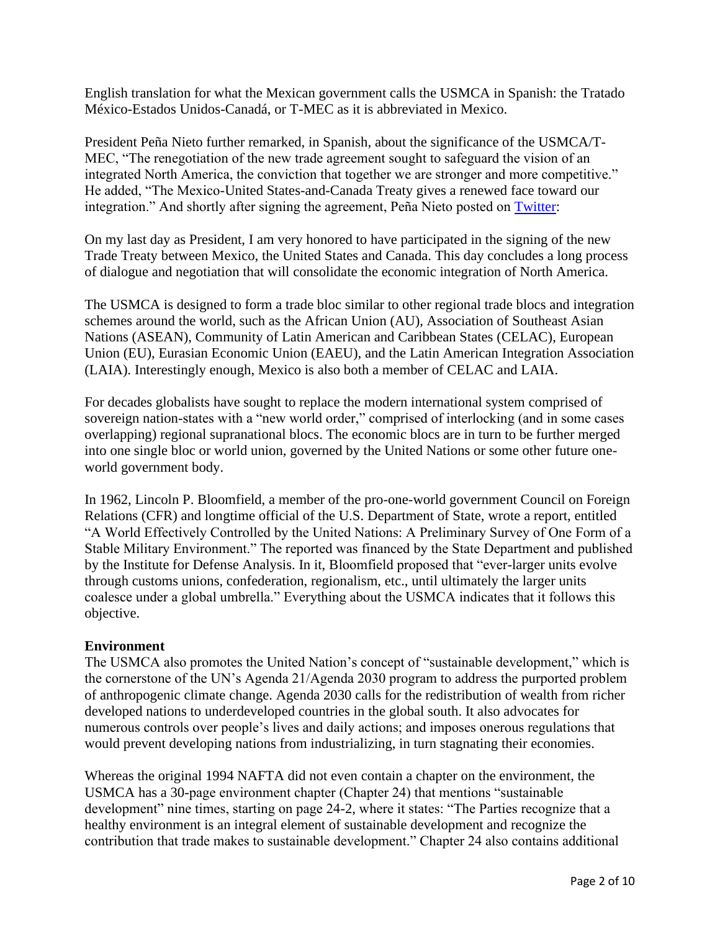English translation for what the Mexican government calls the USMCA in Spanish: the Tratado México-Estados Unidos-Canadá, or T-MEC as it is abbreviated in Mexico.

President Peña Nieto further remarked, in Spanish, about the significance of the USMCA/T-MEC, "The renegotiation of the new trade agreement sought to safeguard the vision of an integrated North America, the conviction that together we are stronger and more competitive." He added, "The Mexico-United States-and-Canada Treaty gives a renewed face toward our integration." And shortly after signing the agreement, Peña Nieto posted on [Twitter:](https://twitter.com/EPN/status/1068521916040794112?ref_src=twsrc%5etfw|twcamp%5etweetembed|twterm%5e1068521916040794112&ref_url=https://expansion.mx/economia/2018/11/30/mexico-eu-y-canada-firman-acuerdo-comercial-t-mec)

On my last day as President, I am very honored to have participated in the signing of the new Trade Treaty between Mexico, the United States and Canada. This day concludes a long process of dialogue and negotiation that will consolidate the economic integration of North America.

The USMCA is designed to form a trade bloc similar to other regional trade blocs and integration schemes around the world, such as the African Union (AU), Association of Southeast Asian Nations (ASEAN), Community of Latin American and Caribbean States (CELAC), European Union (EU), Eurasian Economic Union (EAEU), and the Latin American Integration Association (LAIA). Interestingly enough, Mexico is also both a member of CELAC and LAIA.

For decades globalists have sought to replace the modern international system comprised of sovereign nation-states with a "new world order," comprised of interlocking (and in some cases overlapping) regional supranational blocs. The economic blocs are in turn to be further merged into one single bloc or world union, governed by the United Nations or some other future oneworld government body.

In 1962, Lincoln P. Bloomfield, a member of the pro-one-world government Council on Foreign Relations (CFR) and longtime official of the U.S. Department of State, wrote a report, entitled "A World Effectively Controlled by the United Nations: A Preliminary Survey of One Form of a Stable Military Environment." The reported was financed by the State Department and published by the Institute for Defense Analysis. In it, Bloomfield proposed that "ever-larger units evolve through customs unions, confederation, regionalism, etc., until ultimately the larger units coalesce under a global umbrella." Everything about the USMCA indicates that it follows this objective.

#### **Environment**

The USMCA also promotes the United Nation's concept of "sustainable development," which is the cornerstone of the UN's Agenda 21/Agenda 2030 program to address the purported problem of anthropogenic climate change. Agenda 2030 calls for the redistribution of wealth from richer developed nations to underdeveloped countries in the global south. It also advocates for numerous controls over people's lives and daily actions; and imposes onerous regulations that would prevent developing nations from industrializing, in turn stagnating their economies.

Whereas the original 1994 NAFTA did not even contain a chapter on the environment, the USMCA has a 30-page environment chapter (Chapter 24) that mentions "sustainable development" nine times, starting on page 24-2, where it states: "The Parties recognize that a healthy environment is an integral element of sustainable development and recognize the contribution that trade makes to sustainable development." Chapter 24 also contains additional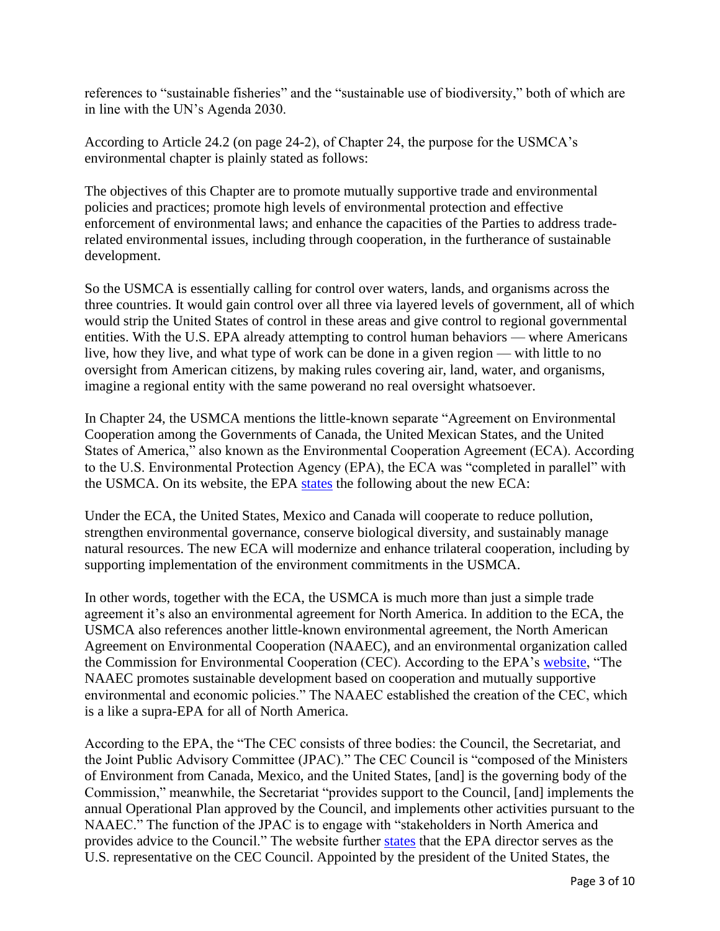references to "sustainable fisheries" and the "sustainable use of biodiversity," both of which are in line with the UN's Agenda 2030.

According to Article 24.2 (on page 24-2), of Chapter 24, the purpose for the USMCA's environmental chapter is plainly stated as follows:

The objectives of this Chapter are to promote mutually supportive trade and environmental policies and practices; promote high levels of environmental protection and effective enforcement of environmental laws; and enhance the capacities of the Parties to address traderelated environmental issues, including through cooperation, in the furtherance of sustainable development.

So the USMCA is essentially calling for control over waters, lands, and organisms across the three countries. It would gain control over all three via layered levels of government, all of which would strip the United States of control in these areas and give control to regional governmental entities. With the U.S. EPA already attempting to control human behaviors — where Americans live, how they live, and what type of work can be done in a given region — with little to no oversight from American citizens, by making rules covering air, land, water, and organisms, imagine a regional entity with the same powerand no real oversight whatsoever.

In Chapter 24, the USMCA mentions the little-known separate "Agreement on Environmental Cooperation among the Governments of Canada, the United Mexican States, and the United States of America," also known as the Environmental Cooperation Agreement (ECA). According to the U.S. Environmental Protection Agency (EPA), the ECA was "completed in parallel" with the USMCA. On its website, the EPA [states](https://www.epa.gov/international-cooperation/epas-role-north-american-commission-environmental-cooperation-cec) the following about the new ECA:

Under the ECA, the United States, Mexico and Canada will cooperate to reduce pollution, strengthen environmental governance, conserve biological diversity, and sustainably manage natural resources. The new ECA will modernize and enhance trilateral cooperation, including by supporting implementation of the environment commitments in the USMCA.

In other words, together with the ECA, the USMCA is much more than just a simple trade agreement it's also an environmental agreement for North America. In addition to the ECA, the USMCA also references another little-known environmental agreement, the North American Agreement on Environmental Cooperation (NAAEC), and an environmental organization called the Commission for Environmental Cooperation (CEC). According to the EPA's [website,](https://www.epa.gov/international-cooperation/epas-role-north-american-commission-environmental-cooperation-cec) "The NAAEC promotes sustainable development based on cooperation and mutually supportive environmental and economic policies." The NAAEC established the creation of the CEC, which is a like a supra-EPA for all of North America.

According to the EPA, the "The CEC consists of three bodies: the Council, the Secretariat, and the Joint Public Advisory Committee (JPAC)." The CEC Council is "composed of the Ministers of Environment from Canada, Mexico, and the United States, [and] is the governing body of the Commission," meanwhile, the Secretariat "provides support to the Council, [and] implements the annual Operational Plan approved by the Council, and implements other activities pursuant to the NAAEC." The function of the JPAC is to engage with "stakeholders in North America and provides advice to the Council." The website further [states](https://www.epa.gov/international-cooperation/epas-role-north-american-commission-environmental-cooperation-cec) that the EPA director serves as the U.S. representative on the CEC Council. Appointed by the president of the United States, the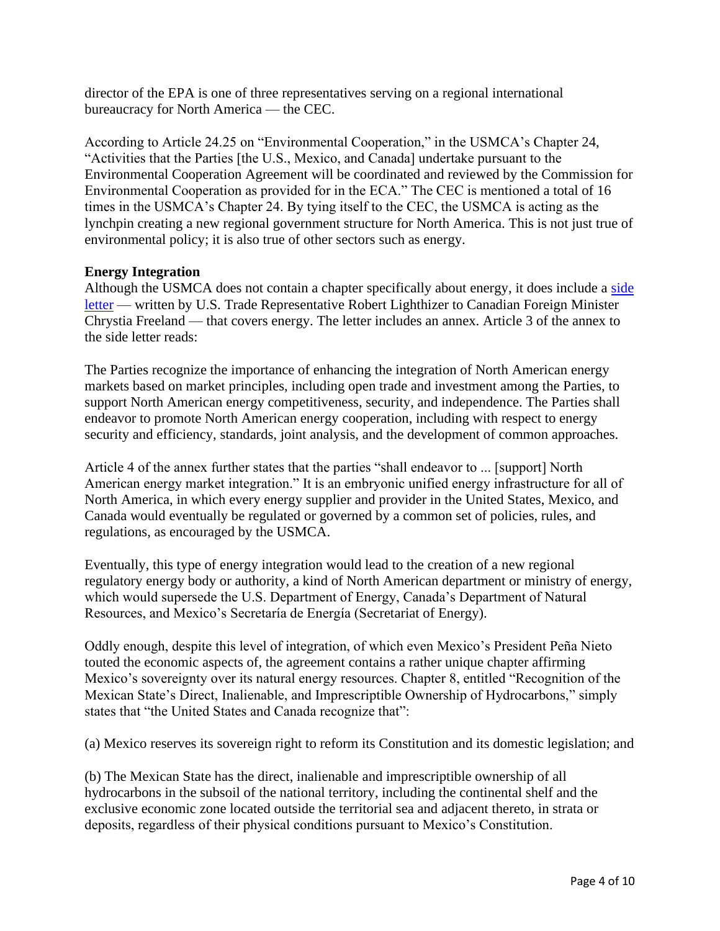director of the EPA is one of three representatives serving on a regional international bureaucracy for North America — the CEC.

According to Article 24.25 on "Environmental Cooperation," in the USMCA's Chapter 24, "Activities that the Parties [the U.S., Mexico, and Canada] undertake pursuant to the Environmental Cooperation Agreement will be coordinated and reviewed by the Commission for Environmental Cooperation as provided for in the ECA." The CEC is mentioned a total of 16 times in the USMCA's Chapter 24. By tying itself to the CEC, the USMCA is acting as the lynchpin creating a new regional government structure for North America. This is not just true of environmental policy; it is also true of other sectors such as energy.

#### **Energy Integration**

Although the USMCA does not contain a chapter specifically about energy, it does include a side [letter](https://ustr.gov/sites/default/files/files/agreements/FTA/USMCA/Text/CA-US_Side_Letter_on_Energy.pdf) — written by U.S. Trade Representative Robert Lighthizer to Canadian Foreign Minister Chrystia Freeland — that covers energy. The letter includes an annex. Article 3 of the annex to the side letter reads:

The Parties recognize the importance of enhancing the integration of North American energy markets based on market principles, including open trade and investment among the Parties, to support North American energy competitiveness, security, and independence. The Parties shall endeavor to promote North American energy cooperation, including with respect to energy security and efficiency, standards, joint analysis, and the development of common approaches.

Article 4 of the annex further states that the parties "shall endeavor to ... [support] North American energy market integration." It is an embryonic unified energy infrastructure for all of North America, in which every energy supplier and provider in the United States, Mexico, and Canada would eventually be regulated or governed by a common set of policies, rules, and regulations, as encouraged by the USMCA.

Eventually, this type of energy integration would lead to the creation of a new regional regulatory energy body or authority, a kind of North American department or ministry of energy, which would supersede the U.S. Department of Energy, Canada's Department of Natural Resources, and Mexico's Secretaría de Energía (Secretariat of Energy).

Oddly enough, despite this level of integration, of which even Mexico's President Peña Nieto touted the economic aspects of, the agreement contains a rather unique chapter affirming Mexico's sovereignty over its natural energy resources. Chapter 8, entitled "Recognition of the Mexican State's Direct, Inalienable, and Imprescriptible Ownership of Hydrocarbons," simply states that "the United States and Canada recognize that":

(a) Mexico reserves its sovereign right to reform its Constitution and its domestic legislation; and

(b) The Mexican State has the direct, inalienable and imprescriptible ownership of all hydrocarbons in the subsoil of the national territory, including the continental shelf and the exclusive economic zone located outside the territorial sea and adjacent thereto, in strata or deposits, regardless of their physical conditions pursuant to Mexico's Constitution.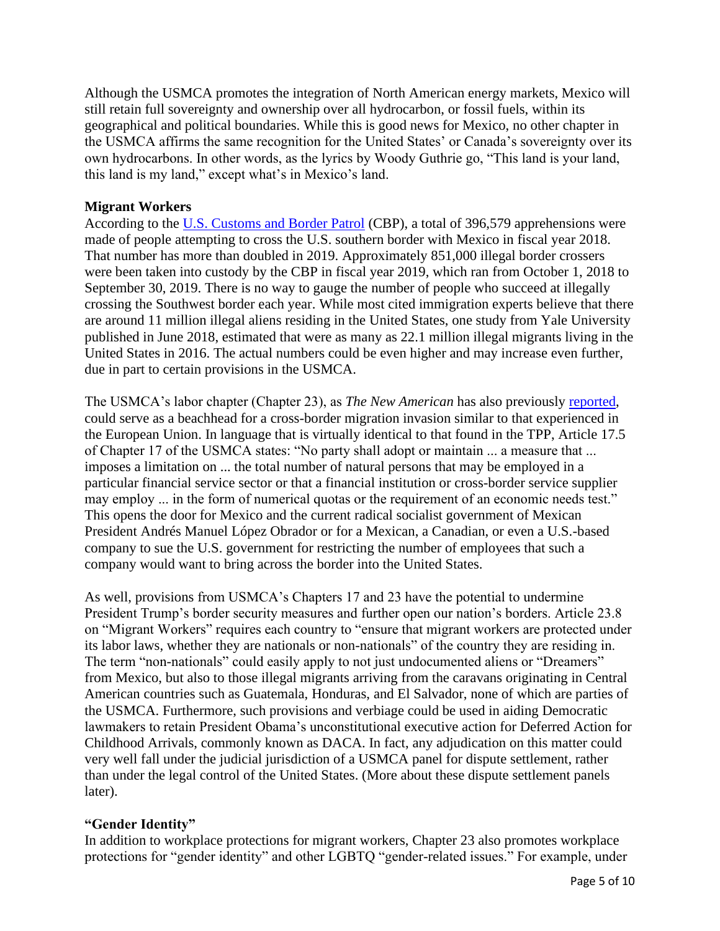Although the USMCA promotes the integration of North American energy markets, Mexico will still retain full sovereignty and ownership over all hydrocarbon, or fossil fuels, within its geographical and political boundaries. While this is good news for Mexico, no other chapter in the USMCA affirms the same recognition for the United States' or Canada's sovereignty over its own hydrocarbons. In other words, as the lyrics by Woody Guthrie go, "This land is your land, this land is my land," except what's in Mexico's land.

#### **Migrant Workers**

According to the [U.S. Customs and Border Patrol](https://www.cbp.gov/newsroom/stats/sw-border-migration/fy-2018#wcm-survey-target-id) (CBP), a total of 396,579 apprehensions were made of people attempting to cross the U.S. southern border with Mexico in fiscal year 2018. That number has more than doubled in 2019. Approximately 851,000 illegal border crossers were been taken into custody by the CBP in fiscal year 2019, which ran from October 1, 2018 to September 30, 2019. There is no way to gauge the number of people who succeed at illegally crossing the Southwest border each year. While most cited immigration experts believe that there are around 11 million illegal aliens residing in the United States, one study from Yale University published in June 2018, estimated that were as many as 22.1 million illegal migrants living in the United States in 2016. The actual numbers could be even higher and may increase even further, due in part to certain provisions in the USMCA.

The USMCA's labor chapter (Chapter 23), as *The New American* has also previously [reported,](https://www.thenewamerican.com/print-magazine/item/30541-what-s-wrong-with-the-usmca) could serve as a beachhead for a cross-border migration invasion similar to that experienced in the European Union. In language that is virtually identical to that found in the TPP, Article 17.5 of Chapter 17 of the USMCA states: "No party shall adopt or maintain ... a measure that ... imposes a limitation on ... the total number of natural persons that may be employed in a particular financial service sector or that a financial institution or cross-border service supplier may employ ... in the form of numerical quotas or the requirement of an economic needs test." This opens the door for Mexico and the current radical socialist government of Mexican President Andrés Manuel López Obrador or for a Mexican, a Canadian, or even a U.S.-based company to sue the U.S. government for restricting the number of employees that such a company would want to bring across the border into the United States.

As well, provisions from USMCA's Chapters 17 and 23 have the potential to undermine President Trump's border security measures and further open our nation's borders. Article 23.8 on "Migrant Workers" requires each country to "ensure that migrant workers are protected under its labor laws, whether they are nationals or non-nationals" of the country they are residing in. The term "non-nationals" could easily apply to not just undocumented aliens or "Dreamers" from Mexico, but also to those illegal migrants arriving from the caravans originating in Central American countries such as Guatemala, Honduras, and El Salvador, none of which are parties of the USMCA. Furthermore, such provisions and verbiage could be used in aiding Democratic lawmakers to retain President Obama's unconstitutional executive action for Deferred Action for Childhood Arrivals, commonly known as DACA. In fact, any adjudication on this matter could very well fall under the judicial jurisdiction of a USMCA panel for dispute settlement, rather than under the legal control of the United States. (More about these dispute settlement panels later).

#### **"Gender Identity"**

In addition to workplace protections for migrant workers, Chapter 23 also promotes workplace protections for "gender identity" and other LGBTQ "gender-related issues." For example, under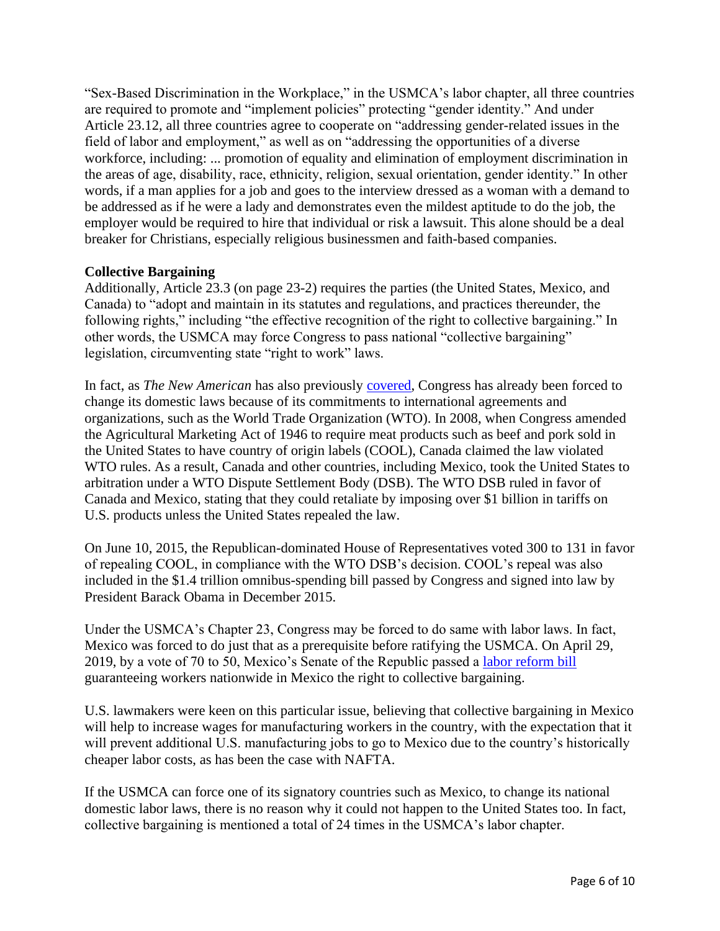"Sex-Based Discrimination in the Workplace," in the USMCA's labor chapter, all three countries are required to promote and "implement policies" protecting "gender identity." And under Article 23.12, all three countries agree to cooperate on "addressing gender-related issues in the field of labor and employment," as well as on "addressing the opportunities of a diverse workforce, including: ... promotion of equality and elimination of employment discrimination in the areas of age, disability, race, ethnicity, religion, sexual orientation, gender identity." In other words, if a man applies for a job and goes to the interview dressed as a woman with a demand to be addressed as if he were a lady and demonstrates even the mildest aptitude to do the job, the employer would be required to hire that individual or risk a lawsuit. This alone should be a deal breaker for Christians, especially religious businessmen and faith-based companies.

#### **Collective Bargaining**

Additionally, Article 23.3 (on page 23-2) requires the parties (the United States, Mexico, and Canada) to "adopt and maintain in its statutes and regulations, and practices thereunder, the following rights," including "the effective recognition of the right to collective bargaining." In other words, the USMCA may force Congress to pass national "collective bargaining" legislation, circumventing state "right to work" laws.

In fact, as *The New American* has also previously [covered,](https://www.thenewamerican.com/print-magazine/item/30541-what-s-wrong-with-the-usmca) Congress has already been forced to change its domestic laws because of its commitments to international agreements and organizations, such as the World Trade Organization (WTO). In 2008, when Congress amended the Agricultural Marketing Act of 1946 to require meat products such as beef and pork sold in the United States to have country of origin labels (COOL), Canada claimed the law violated WTO rules. As a result, Canada and other countries, including Mexico, took the United States to arbitration under a WTO Dispute Settlement Body (DSB). The WTO DSB ruled in favor of Canada and Mexico, stating that they could retaliate by imposing over \$1 billion in tariffs on U.S. products unless the United States repealed the law.

On June 10, 2015, the Republican-dominated House of Representatives voted 300 to 131 in favor of repealing COOL, in compliance with the WTO DSB's decision. COOL's repeal was also included in the \$1.4 trillion omnibus-spending bill passed by Congress and signed into law by President Barack Obama in December 2015.

Under the USMCA's Chapter 23, Congress may be forced to do same with labor laws. In fact, Mexico was forced to do just that as a prerequisite before ratifying the USMCA. On April 29, 2019, by a vote of 70 to 50, Mexico's Senate of the Republic passed a [labor reform bill](https://www.thenewamerican.com/world-news/north-america/item/32160-mexico-s-collective-bargaining-law-paves-way-for-usmca-passage-north-american-union) guaranteeing workers nationwide in Mexico the right to collective bargaining.

U.S. lawmakers were keen on this particular issue, believing that collective bargaining in Mexico will help to increase wages for manufacturing workers in the country, with the expectation that it will prevent additional U.S. manufacturing jobs to go to Mexico due to the country's historically cheaper labor costs, as has been the case with NAFTA.

If the USMCA can force one of its signatory countries such as Mexico, to change its national domestic labor laws, there is no reason why it could not happen to the United States too. In fact, collective bargaining is mentioned a total of 24 times in the USMCA's labor chapter.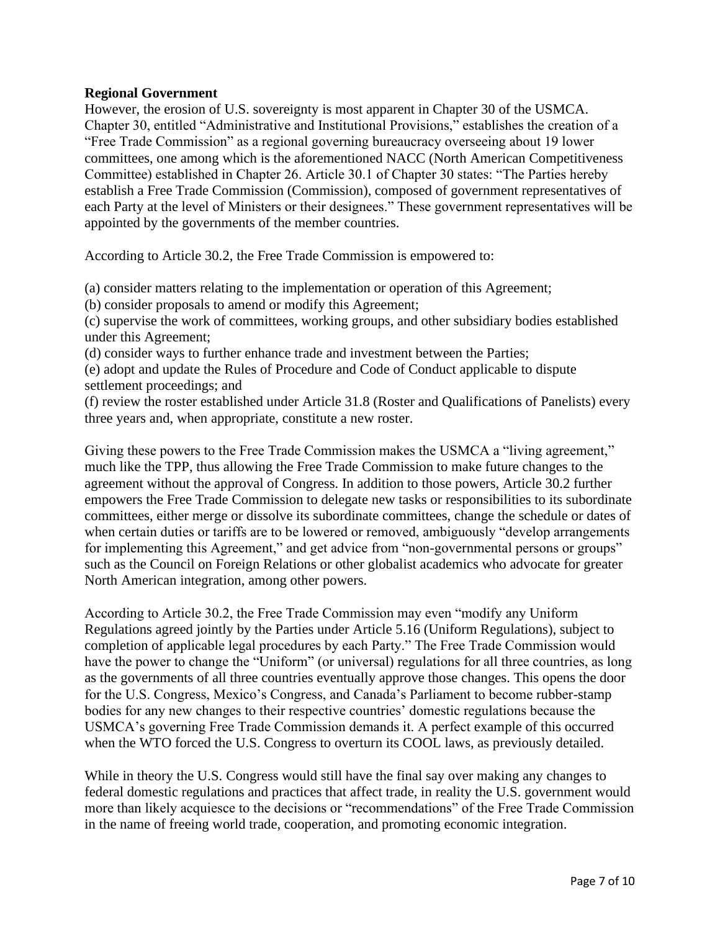#### **Regional Government**

However, the erosion of U.S. sovereignty is most apparent in Chapter 30 of the USMCA. Chapter 30, entitled "Administrative and Institutional Provisions," establishes the creation of a "Free Trade Commission" as a regional governing bureaucracy overseeing about 19 lower committees, one among which is the aforementioned NACC (North American Competitiveness Committee) established in Chapter 26. Article 30.1 of Chapter 30 states: "The Parties hereby establish a Free Trade Commission (Commission), composed of government representatives of each Party at the level of Ministers or their designees." These government representatives will be appointed by the governments of the member countries.

According to Article 30.2, the Free Trade Commission is empowered to:

(a) consider matters relating to the implementation or operation of this Agreement;

(b) consider proposals to amend or modify this Agreement;

(c) supervise the work of committees, working groups, and other subsidiary bodies established under this Agreement;

(d) consider ways to further enhance trade and investment between the Parties;

(e) adopt and update the Rules of Procedure and Code of Conduct applicable to dispute settlement proceedings; and

(f) review the roster established under Article 31.8 (Roster and Qualifications of Panelists) every three years and, when appropriate, constitute a new roster.

Giving these powers to the Free Trade Commission makes the USMCA a "living agreement," much like the TPP, thus allowing the Free Trade Commission to make future changes to the agreement without the approval of Congress. In addition to those powers, Article 30.2 further empowers the Free Trade Commission to delegate new tasks or responsibilities to its subordinate committees, either merge or dissolve its subordinate committees, change the schedule or dates of when certain duties or tariffs are to be lowered or removed, ambiguously "develop arrangements" for implementing this Agreement," and get advice from "non-governmental persons or groups" such as the Council on Foreign Relations or other globalist academics who advocate for greater North American integration, among other powers.

According to Article 30.2, the Free Trade Commission may even "modify any Uniform Regulations agreed jointly by the Parties under Article 5.16 (Uniform Regulations), subject to completion of applicable legal procedures by each Party." The Free Trade Commission would have the power to change the "Uniform" (or universal) regulations for all three countries, as long as the governments of all three countries eventually approve those changes. This opens the door for the U.S. Congress, Mexico's Congress, and Canada's Parliament to become rubber-stamp bodies for any new changes to their respective countries' domestic regulations because the USMCA's governing Free Trade Commission demands it. A perfect example of this occurred when the WTO forced the U.S. Congress to overturn its COOL laws, as previously detailed.

While in theory the U.S. Congress would still have the final say over making any changes to federal domestic regulations and practices that affect trade, in reality the U.S. government would more than likely acquiesce to the decisions or "recommendations" of the Free Trade Commission in the name of freeing world trade, cooperation, and promoting economic integration.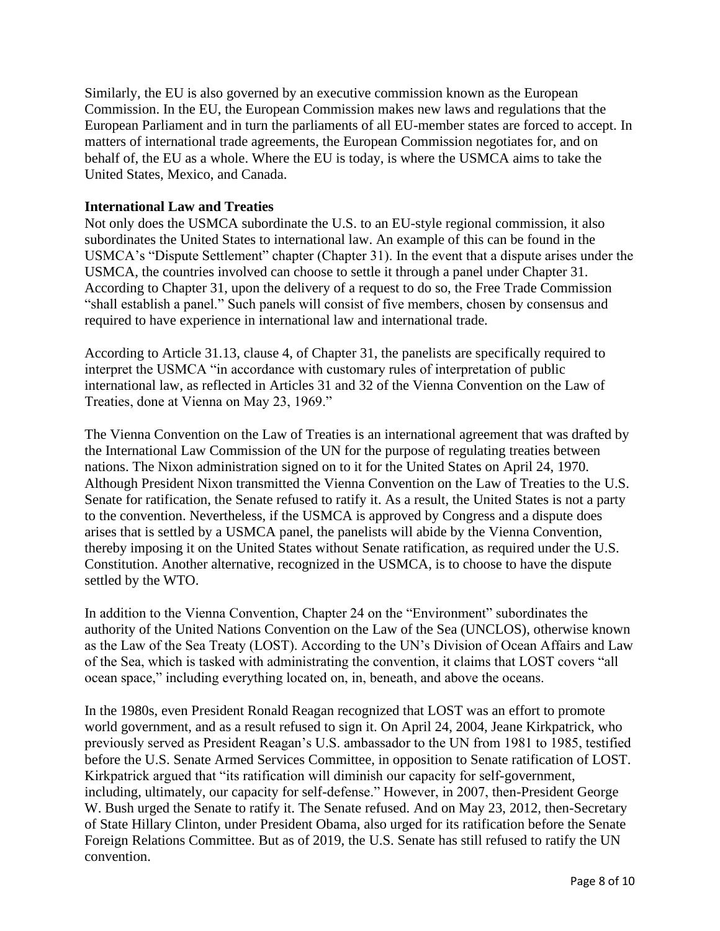Similarly, the EU is also governed by an executive commission known as the European Commission. In the EU, the European Commission makes new laws and regulations that the European Parliament and in turn the parliaments of all EU-member states are forced to accept. In matters of international trade agreements, the European Commission negotiates for, and on behalf of, the EU as a whole. Where the EU is today, is where the USMCA aims to take the United States, Mexico, and Canada.

#### **International Law and Treaties**

Not only does the USMCA subordinate the U.S. to an EU-style regional commission, it also subordinates the United States to international law. An example of this can be found in the USMCA's "Dispute Settlement" chapter (Chapter 31). In the event that a dispute arises under the USMCA, the countries involved can choose to settle it through a panel under Chapter 31. According to Chapter 31, upon the delivery of a request to do so, the Free Trade Commission "shall establish a panel." Such panels will consist of five members, chosen by consensus and required to have experience in international law and international trade.

According to Article 31.13, clause 4, of Chapter 31, the panelists are specifically required to interpret the USMCA "in accordance with customary rules of interpretation of public international law, as reflected in Articles 31 and 32 of the Vienna Convention on the Law of Treaties, done at Vienna on May 23, 1969."

The Vienna Convention on the Law of Treaties is an international agreement that was drafted by the International Law Commission of the UN for the purpose of regulating treaties between nations. The Nixon administration signed on to it for the United States on April 24, 1970. Although President Nixon transmitted the Vienna Convention on the Law of Treaties to the U.S. Senate for ratification, the Senate refused to ratify it. As a result, the United States is not a party to the convention. Nevertheless, if the USMCA is approved by Congress and a dispute does arises that is settled by a USMCA panel, the panelists will abide by the Vienna Convention, thereby imposing it on the United States without Senate ratification, as required under the U.S. Constitution. Another alternative, recognized in the USMCA, is to choose to have the dispute settled by the WTO.

In addition to the Vienna Convention, Chapter 24 on the "Environment" subordinates the authority of the United Nations Convention on the Law of the Sea (UNCLOS), otherwise known as the Law of the Sea Treaty (LOST). According to the UN's Division of Ocean Affairs and Law of the Sea, which is tasked with administrating the convention, it claims that LOST covers "all ocean space," including everything located on, in, beneath, and above the oceans.

In the 1980s, even President Ronald Reagan recognized that LOST was an effort to promote world government, and as a result refused to sign it. On April 24, 2004, Jeane Kirkpatrick, who previously served as President Reagan's U.S. ambassador to the UN from 1981 to 1985, testified before the U.S. Senate Armed Services Committee, in opposition to Senate ratification of LOST. Kirkpatrick argued that "its ratification will diminish our capacity for self-government, including, ultimately, our capacity for self-defense." However, in 2007, then-President George W. Bush urged the Senate to ratify it. The Senate refused. And on May 23, 2012, then-Secretary of State Hillary Clinton, under President Obama, also urged for its ratification before the Senate Foreign Relations Committee. But as of 2019, the U.S. Senate has still refused to ratify the UN convention.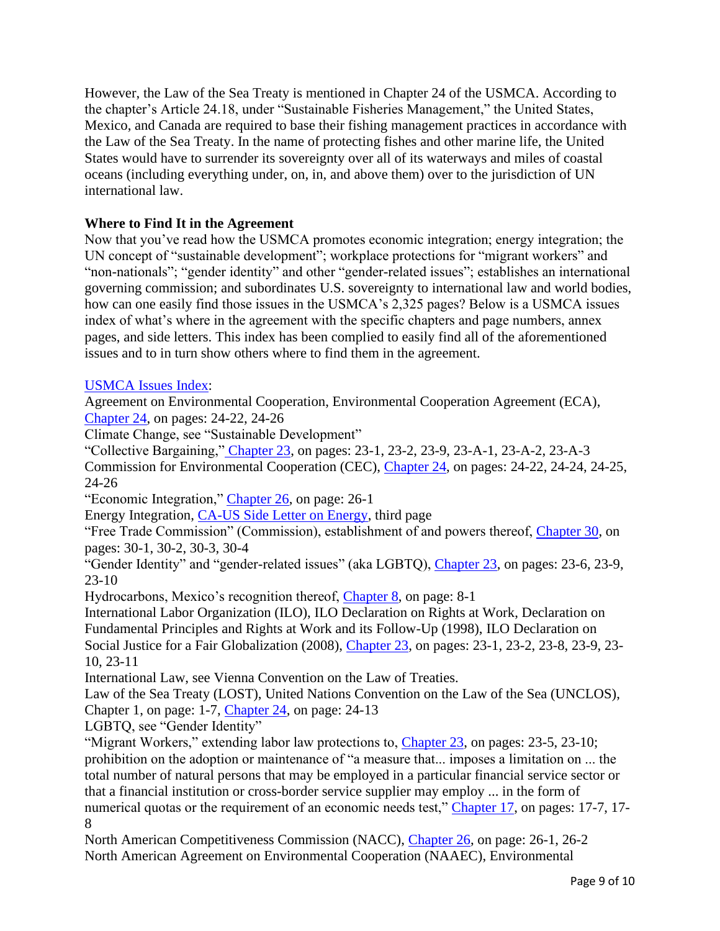However, the Law of the Sea Treaty is mentioned in Chapter 24 of the USMCA. According to the chapter's Article 24.18, under "Sustainable Fisheries Management," the United States, Mexico, and Canada are required to base their fishing management practices in accordance with the Law of the Sea Treaty. In the name of protecting fishes and other marine life, the United States would have to surrender its sovereignty over all of its waterways and miles of coastal oceans (including everything under, on, in, and above them) over to the jurisdiction of UN international law.

## **Where to Find It in the Agreement**

Now that you've read how the USMCA promotes economic integration; energy integration; the UN concept of "sustainable development"; workplace protections for "migrant workers" and "non-nationals"; "gender identity" and other "gender-related issues"; establishes an international governing commission; and subordinates U.S. sovereignty to international law and world bodies, how can one easily find those issues in the USMCA's 2,325 pages? Below is a USMCA issues index of what's where in the agreement with the specific chapters and page numbers, annex pages, and side letters. This index has been complied to easily find all of the aforementioned issues and to in turn show others where to find them in the agreement.

### [USMCA Issues Index:](https://www.jbs.org/wp-content/uploads/2019/10/JBS_USMCA-Issues-Index2y.pdf)

Agreement on Environmental Cooperation, Environmental Cooperation Agreement (ECA), [Chapter 24,](https://ustr.gov/sites/default/files/files/agreements/FTA/USMCA/Text/24_Environment.pdf) on pages: 24-22, 24-26

Climate Change, see "Sustainable Development"

"Collective Bargaining," [Chapter 23,](https://ustr.gov/sites/default/files/files/agreements/FTA/USMCA/Text/23_Labor.pdf) on pages: 23-1, 23-2, 23-9, 23-A-1, 23-A-2, 23-A-3 Commission for Environmental Cooperation (CEC), [Chapter 24,](https://ustr.gov/sites/default/files/files/agreements/FTA/USMCA/Text/24_Environment.pdf) on pages: 24-22, 24-24, 24-25, 24-26

"Economic Integration," [Chapter 26,](https://ustr.gov/sites/default/files/files/agreements/FTA/USMCA/Text/26_Competitiveness.pdf) on page: 26-1

Energy Integration, [CA-US Side Letter on Energy,](https://ustr.gov/sites/default/files/files/agreements/FTA/USMCA/Text/CA-US_Side_Letter_on_Energy.pdf) third page

"Free Trade Commission" (Commission), establishment of and powers thereof, [Chapter 30,](https://ustr.gov/sites/default/files/files/agreements/FTA/USMCA/Text/30_Administrative_and_Institutional_Provisions.pdf) on pages: 30-1, 30-2, 30-3, 30-4

"Gender Identity" and "gender-related issues" (aka LGBTQ), [Chapter 23,](https://ustr.gov/sites/default/files/files/agreements/FTA/USMCA/Text/23_Labor.pdf) on pages: 23-6, 23-9, 23-10

Hydrocarbons, Mexico's recognition thereof, [Chapter 8,](https://ustr.gov/sites/default/files/files/agreements/FTA/USMCA/Text/08_Recognition_of_Mexican_Ownership_of_Hydrocarbons.pdf) on page: 8-1

International Labor Organization (ILO), ILO Declaration on Rights at Work, Declaration on Fundamental Principles and Rights at Work and its Follow-Up (1998), ILO Declaration on Social Justice for a Fair Globalization (2008), [Chapter 23,](https://ustr.gov/sites/default/files/files/agreements/FTA/USMCA/Text/23_Labor.pdf) on pages: 23-1, 23-2, 23-8, 23-9, 23- 10, 23-11

International Law, see Vienna Convention on the Law of Treaties.

Law of the Sea Treaty (LOST), United Nations Convention on the Law of the Sea (UNCLOS), Chapter 1, on page: 1-7, [Chapter 24,](https://ustr.gov/sites/default/files/files/agreements/FTA/USMCA/Text/24_Environment.pdf) on page: 24-13

LGBTQ, see "Gender Identity"

"Migrant Workers," extending labor law protections to, [Chapter 23,](https://ustr.gov/sites/default/files/files/agreements/FTA/USMCA/Text/23_Labor.pdf) on pages: 23-5, 23-10; prohibition on the adoption or maintenance of "a measure that... imposes a limitation on ... the total number of natural persons that may be employed in a particular financial service sector or that a financial institution or cross-border service supplier may employ ... in the form of numerical quotas or the requirement of an economic needs test," [Chapter 17,](https://ustr.gov/sites/default/files/files/agreements/FTA/USMCA/Text/17_Financial_Services.pdf) on pages: 17-7, 17-8

North American Competitiveness Commission (NACC), [Chapter 26,](https://ustr.gov/sites/default/files/files/agreements/FTA/USMCA/Text/26_Competitiveness.pdf) on page: 26-1, 26-2 North American Agreement on Environmental Cooperation (NAAEC), Environmental